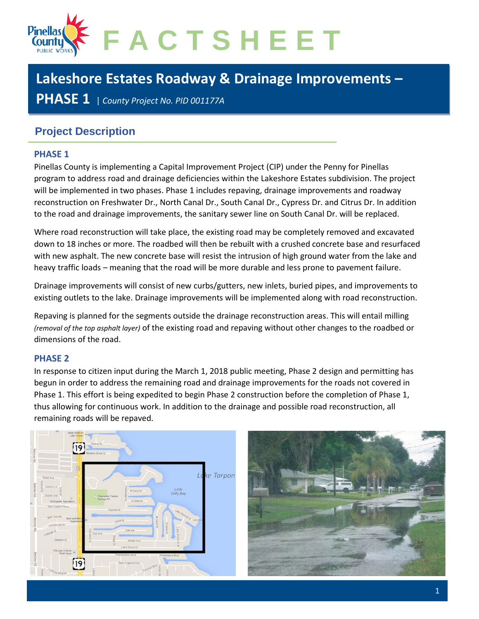

# **Lakeshore Estates Roadway & Drainage Improvements –**

**PHASE 1** <sup>|</sup> *County Project No. PID 001177A*

## **Project Description**

#### **PHASE 1**

Pinellas County is implementing a Capital Improvement Project (CIP) under the Penny for Pinellas program to address road and drainage deficiencies within the Lakeshore Estates subdivision. The project will be implemented in two phases. Phase 1 includes repaving, drainage improvements and roadway reconstruction on Freshwater Dr., North Canal Dr., South Canal Dr., Cypress Dr. and Citrus Dr. In addition to the road and drainage improvements, the sanitary sewer line on South Canal Dr. will be replaced.

Where road reconstruction will take place, the existing road may be completely removed and excavated down to 18 inches or more. The roadbed will then be rebuilt with a crushed concrete base and resurfaced with new asphalt. The new concrete base will resist the intrusion of high ground water from the lake and heavy traffic loads – meaning that the road will be more durable and less prone to pavement failure.

Drainage improvements will consist of new curbs/gutters, new inlets, buried pipes, and improvements to existing outlets to the lake. Drainage improvements will be implemented along with road reconstruction.

Repaving is planned for the segments outside the drainage reconstruction areas. This will entail milling *(removal of the top asphalt layer)* of the existing road and repaving without other changes to the roadbed or dimensions of the road.

#### **PHASE 2**

In response to citizen input during the March 1, 2018 public meeting, Phase 2 design and permitting has begun in order to address the remaining road and drainage improvements for the roads not covered in Phase 1. This effort is being expedited to begin Phase 2 construction before the completion of Phase 1, thus allowing for continuous work. In addition to the drainage and possible road reconstruction, all remaining roads will be repaved.